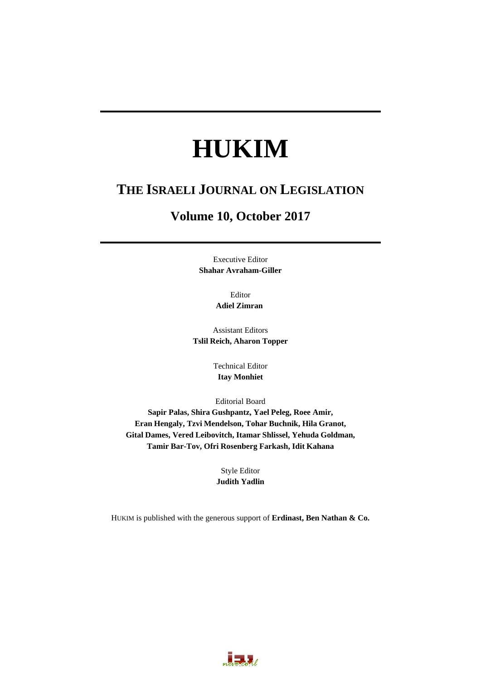# **HUKIM**

# **THE ISRAELI JOURNAL ON LEGISLATION**

# **Volume 10, October 2017**

Executive Editor **Shahar Avraham-Giller** 

> Editor **Adiel Zimran**

Assistant Editors **Tslil Reich, Aharon Topper** 

> Technical Editor **Itay Monhiet**

Editorial Board

**Sapir Palas, Shira Gushpantz, Yael Peleg, Roee Amir, Eran Hengaly, Tzvi Mendelson, Tohar Buchnik, Hila Granot, Gital Dames, Vered Leibovitch, Itamar Shlissel, Yehuda Goldman, Tamir Bar-Tov, Ofri Rosenberg Farkash, Idit Kahana** 

> Style Editor **Judith Yadlin**

HUKIM is published with the generous support of **Erdinast, Ben Nathan & Co.**

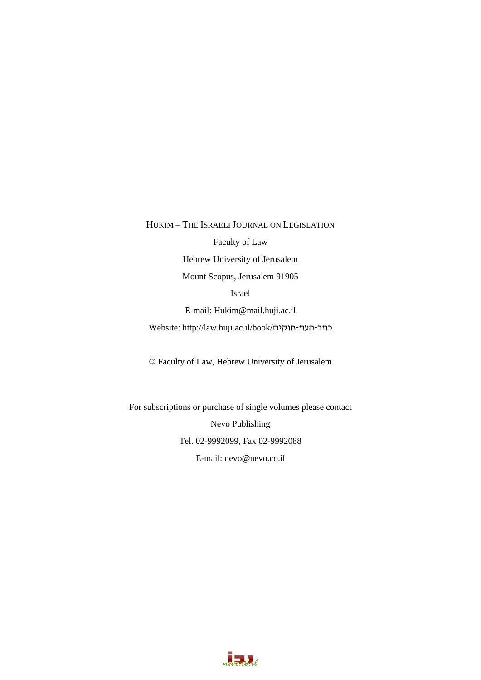HUKIM – THE ISRAELI JOURNAL ON LEGISLATION

Faculty of Law

Hebrew University of Jerusalem

Mount Scopus, Jerusalem 91905

Israel

E-mail: Hukim@mail.huji.ac.il

Website: http://law.huji.ac.il/book/כתב-העת-חוקים

© Faculty of Law, Hebrew University of Jerusalem

For subscriptions or purchase of single volumes please contact Nevo Publishing Tel. 02-9992099, Fax 02-9992088 E-mail: nevo@nevo.co.il

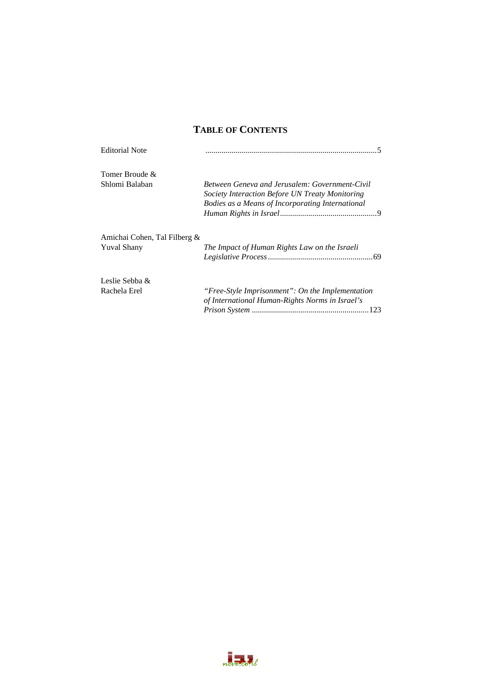### **TABLE OF CONTENTS**

| <b>Editorial Note</b>                              |                                                                                                                                                       |
|----------------------------------------------------|-------------------------------------------------------------------------------------------------------------------------------------------------------|
| Tomer Broude &                                     |                                                                                                                                                       |
| Shlomi Balaban                                     | Between Geneva and Jerusalem: Government-Civil<br>Society Interaction Before UN Treaty Monitoring<br>Bodies as a Means of Incorporating International |
| Amichai Cohen, Tal Filberg &<br><b>Yuval Shany</b> | The Impact of Human Rights Law on the Israeli                                                                                                         |
| Leslie Sebba &                                     |                                                                                                                                                       |
| Rachela Erel                                       | "Free-Style Imprisonment": On the Implementation<br>of International Human-Rights Norms in Israel's                                                   |
|                                                    |                                                                                                                                                       |

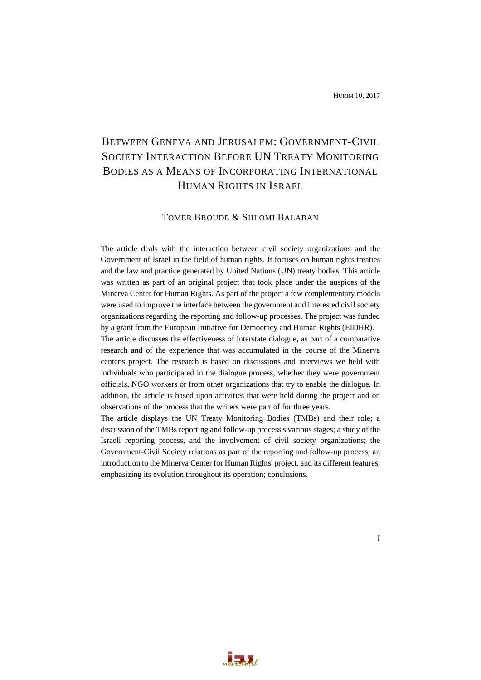## BETWEEN GENEVA AND JERUSALEM: GOVERNMENT-CIVIL SOCIETY INTERACTION BEFORE UN TREATY MONITORING BODIES AS A MEANS OF INCORPORATING INTERNATIONAL HUMAN RIGHTS IN ISRAEL

#### TOMER BROUDE & SHLOMI BALABAN

The article deals with the interaction between civil society organizations and the Government of Israel in the field of human rights. It focuses on human rights treaties and the law and practice generated by United Nations (UN) treaty bodies. This article was written as part of an original project that took place under the auspices of the Minerva Center for Human Rights. As part of the project a few complementary models were used to improve the interface between the government and interested civil society organizations regarding the reporting and follow-up processes. The project was funded by a grant from the European Initiative for Democracy and Human Rights (EIDHR).

The article discusses the effectiveness of interstate dialogue, as part of a comparative research and of the experience that was accumulated in the course of the Minerva center's project. The research is based on discussions and interviews we held with individuals who participated in the dialogue process, whether they were government officials, NGO workers or from other organizations that try to enable the dialogue. In addition, the article is based upon activities that were held during the project and on observations of the process that the writers were part of for three years.

The article displays the UN Treaty Monitoring Bodies (TMBs) and their role; a discussion of the TMBs reporting and follow-up process's various stages; a study of the Israeli reporting process, and the involvement of civil society organizations; the Government-Civil Society relations as part of the reporting and follow-up process; an introduction to the Minerva Center for Human Rights' project, and its different features, emphasizing its evolution throughout its operation; conclusions.



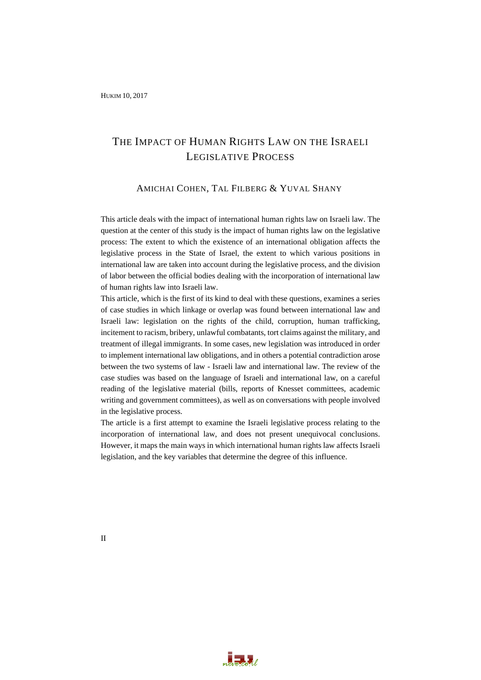## THE IMPACT OF HUMAN RIGHTS LAW ON THE ISRAELI LEGISLATIVE PROCESS

#### AMICHAI COHEN, TAL FILBERG & YUVAL SHANY

This article deals with the impact of international human rights law on Israeli law. The question at the center of this study is the impact of human rights law on the legislative process: The extent to which the existence of an international obligation affects the legislative process in the State of Israel, the extent to which various positions in international law are taken into account during the legislative process, and the division of labor between the official bodies dealing with the incorporation of international law of human rights law into Israeli law.

This article, which is the first of its kind to deal with these questions, examines a series of case studies in which linkage or overlap was found between international law and Israeli law: legislation on the rights of the child, corruption, human trafficking, incitement to racism, bribery, unlawful combatants, tort claims against the military, and treatment of illegal immigrants. In some cases, new legislation was introduced in order to implement international law obligations, and in others a potential contradiction arose between the two systems of law - Israeli law and international law. The review of the case studies was based on the language of Israeli and international law, on a careful reading of the legislative material (bills, reports of Knesset committees, academic writing and government committees), as well as on conversations with people involved in the legislative process.

The article is a first attempt to examine the Israeli legislative process relating to the incorporation of international law, and does not present unequivocal conclusions. However, it maps the main ways in which international human rights law affects Israeli legislation, and the key variables that determine the degree of this influence.